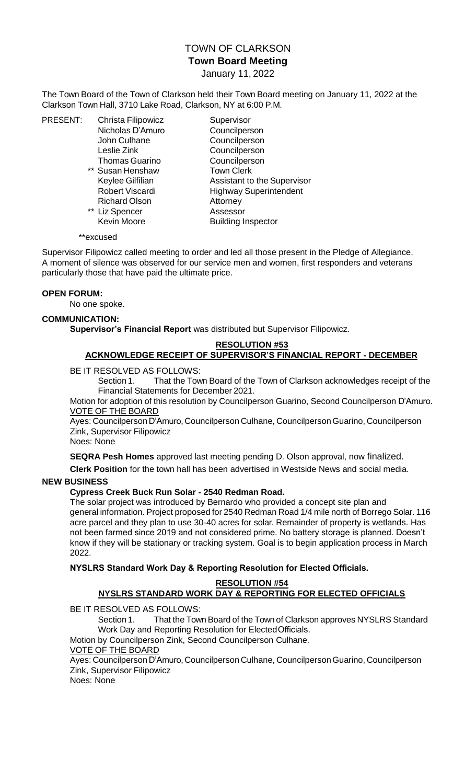# TOWN OF CLARKSON **Town Board Meeting** January 11, 2022

The Town Board of the Town of Clarkson held their Town Board meeting on January 11, 2022 at the Clarkson Town Hall, 3710 Lake Road, Clarkson, NY at 6:00 P.M.

PRESENT: Christa Filipowicz Supervisor Nicholas D'Amuro Councilperson John Culhane Councilperson Leslie Zink Councilperson Thomas Guarino Councilperson \*\* Susan Henshaw Town Clerk Richard Olson Attorney \*\* Liz Spencer Assessor

Keylee Gilfilian **Assistant to the Supervisor** Robert Viscardi Highway Superintendent Kevin Moore Building Inspector

#### \*\*excused

Supervisor Filipowicz called meeting to order and led all those present in the Pledge of Allegiance. A moment of silence was observed for our service men and women, first responders and veterans particularly those that have paid the ultimate price.

#### **OPEN FORUM:**

No one spoke.

#### **COMMUNICATION:**

**Supervisor's Financial Report** was distributed but Supervisor Filipowicz.

# **RESOLUTION #53**

# **ACKNOWLEDGE RECEIPT OF SUPERVISOR'S FINANCIAL REPORT - DECEMBER**

BE IT RESOLVED AS FOLLOWS:

Section 1. That the Town Board of the Town of Clarkson acknowledges receipt of the Financial Statements for December 2021.

Motion for adoption of this resolution by Councilperson Guarino, Second Councilperson D'Amuro. VOTE OF THE BOARD

Ayes: Councilperson D'Amuro, Councilperson Culhane, Councilperson Guarino, Councilperson Zink, Supervisor Filipowicz

Noes: None

**SEQRA Pesh Homes** approved last meeting pending D. Olson approval, now finalized.

**Clerk Position** for the town hall has been advertised in Westside News and social media.

### **NEW BUSINESS**

### **Cypress Creek Buck Run Solar - 2540 Redman Road.**

The solar project was introduced by Bernardo who provided a concept site plan and general information. Project proposed for 2540 Redman Road 1/4 mile north of Borrego Solar. 116 acre parcel and they plan to use 30-40 acres for solar. Remainder of property is wetlands. Has not been farmed since 2019 and not considered prime. No battery storage is planned. Doesn't know if they will be stationary or tracking system. Goal is to begin application process in March 2022.

### **NYSLRS Standard Work Day & Reporting Resolution for Elected Officials.**

#### **RESOLUTION #54**

### **NYSLRS STANDARD WORK DAY & REPORTING FOR ELECTED OFFICIALS**

BE IT RESOLVED AS FOLLOWS:

Section 1. That the Town Board of the Town of Clarkson approves NYSLRS Standard Work Day and Reporting Resolution for ElectedOfficials.

Motion by Councilperson Zink, Second Councilperson Culhane.

VOTE OF THE BOARD

Ayes: Councilperson D'Amuro, Councilperson Culhane, Councilperson Guarino, Councilperson Zink, Supervisor Filipowicz

Noes: None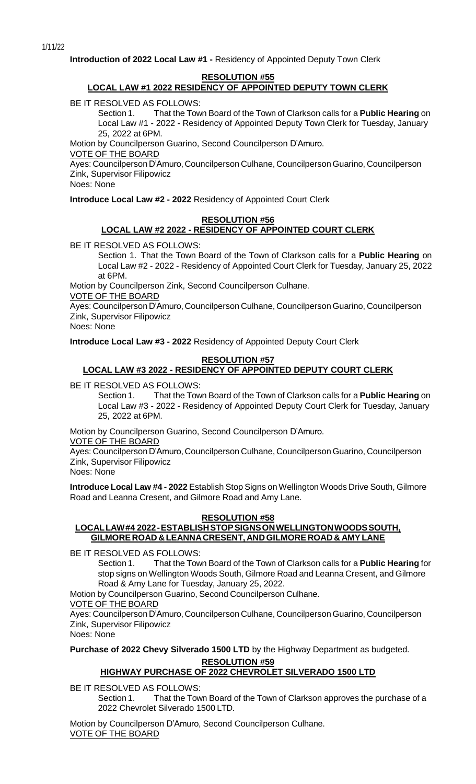**Introduction of 2022 Local Law #1 -** Residency of Appointed Deputy Town Clerk

#### **RESOLUTION #55**

## **LOCAL LAW #1 2022 RESIDENCY OF APPOINTED DEPUTY TOWN CLERK**

BE IT RESOLVED AS FOLLOWS:

Section 1. That the Town Board of the Town of Clarkson calls for a **Public Hearing** on Local Law #1 - 2022 - Residency of Appointed Deputy Town Clerk for Tuesday, January 25, 2022 at 6PM.

Motion by Councilperson Guarino, Second Councilperson D'Amuro.

VOTE OF THE BOARD

Ayes: Councilperson D'Amuro, Councilperson Culhane, Councilperson Guarino, Councilperson Zink, Supervisor Filipowicz

Noes: None

**Introduce Local Law #2 - 2022** Residency of Appointed Court Clerk

### **RESOLUTION #56 LOCAL LAW #2 2022 - RESIDENCY OF APPOINTED COURT CLERK**

BE IT RESOLVED AS FOLLOWS:

Section 1. That the Town Board of the Town of Clarkson calls for a **Public Hearing** on Local Law #2 - 2022 - Residency of Appointed Court Clerk for Tuesday, January 25, 2022 at 6PM.

Motion by Councilperson Zink, Second Councilperson Culhane.

VOTE OF THE BOARD

Ayes: Councilperson D'Amuro, Councilperson Culhane, Councilperson Guarino, Councilperson Zink, Supervisor Filipowicz

Noes: None

**Introduce Local Law #3 - 2022** Residency of Appointed Deputy Court Clerk

### **RESOLUTION #57**

# **LOCAL LAW #3 2022 - RESIDENCY OF APPOINTED DEPUTY COURT CLERK**

BE IT RESOLVED AS FOLLOWS:

Section 1. That the Town Board of the Town of Clarkson calls for a **Public Hearing** on Local Law #3 - 2022 - Residency of Appointed Deputy Court Clerk for Tuesday, January 25, 2022 at 6PM.

Motion by Councilperson Guarino, Second Councilperson D'Amuro.

VOTE OF THE BOARD

Ayes: Councilperson D'Amuro, Councilperson Culhane, Councilperson Guarino, Councilperson Zink, Supervisor Filipowicz

Noes: None

**Introduce Local Law #4 - 2022** Establish Stop Signs on Wellington Woods Drive South, Gilmore Road and Leanna Cresent, and Gilmore Road and Amy Lane.

## **RESOLUTION #58**

## **LOCALLAW#4 2022-ESTABLISHSTOPSIGNSONWELLINGTONWOODSSOUTH, GILMORE ROAD & LEANNACRESENT, ANDGILMORE ROAD & AMYLANE**

BE IT RESOLVED AS FOLLOWS:

Section 1. That the Town Board of the Town of Clarkson calls for a **Public Hearing** for stop signs on Wellington Woods South, Gilmore Road and Leanna Cresent, and Gilmore Road & Amy Lane for Tuesday, January 25, 2022.

Motion by Councilperson Guarino, Second Councilperson Culhane.

VOTE OF THE BOARD

Ayes: Councilperson D'Amuro, Councilperson Culhane, Councilperson Guarino, Councilperson Zink, Supervisor Filipowicz

Noes: None

**Purchase of 2022 Chevy Silverado 1500 LTD** by the Highway Department as budgeted.

**RESOLUTION #59**

## **HIGHWAY PURCHASE OF 2022 CHEVROLET SILVERADO 1500 LTD**

BE IT RESOLVED AS FOLLOWS:

Section 1. That the Town Board of the Town of Clarkson approves the purchase of a 2022 Chevrolet Silverado 1500 LTD.

Motion by Councilperson D'Amuro, Second Councilperson Culhane. VOTE OF THE BOARD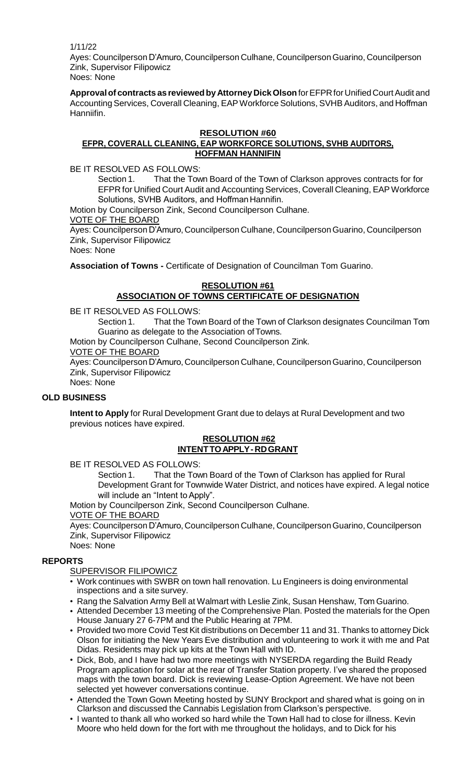1/11/22

Ayes: Councilperson D'Amuro, Councilperson Culhane, Councilperson Guarino, Councilperson Zink, Supervisor Filipowicz Noes: None

**Approvalof contracts as reviewedby AttorneyDickOlson**forEFPRfor UnifiedCourtAudit and Accounting Services, Coverall Cleaning, EAPWorkforce Solutions, SVHB Auditors, and Hoffman Hanniifin.

#### **RESOLUTION #60 EFPR, COVERALL CLEANING, EAP WORKFORCE SOLUTIONS, SVHB AUDITORS, HOFFMAN HANNIFIN**

BE IT RESOLVED AS FOLLOWS:

Section 1. That the Town Board of the Town of Clarkson approves contracts for for EFPR for Unified Court Audit and Accounting Services, Coverall Cleaning, EAP Workforce Solutions, SVHB Auditors, and Hoffman Hannifin.

Motion by Councilperson Zink, Second Councilperson Culhane.

VOTE OF THE BOARD

Ayes: Councilperson D'Amuro, Councilperson Culhane, Councilperson Guarino, Councilperson Zink, Supervisor Filipowicz

Noes: None

**Association of Towns -** Certificate of Designation of Councilman Tom Guarino.

# **RESOLUTION #61 ASSOCIATION OF TOWNS CERTIFICATE OF DESIGNATION**

BE IT RESOLVED AS FOLLOWS:

Section 1. That the Town Board of the Town of Clarkson designates Councilman Tom Guarino as delegate to the Association ofTowns.

Motion by Councilperson Culhane, Second Councilperson Zink.

VOTE OF THE BOARD

Ayes: Councilperson D'Amuro, Councilperson Culhane, Councilperson Guarino, Councilperson Zink, Supervisor Filipowicz

Noes: None

### **OLD BUSINESS**

**Intent to Apply** for Rural Development Grant due to delays at Rural Development and two previous notices have expired.

### **RESOLUTION #62 INTENTTOAPPLY-RDGRANT**

BE IT RESOLVED AS FOLLOWS:

Section 1. That the Town Board of the Town of Clarkson has applied for Rural Development Grant for Townwide Water District, and notices have expired. A legal notice will include an "Intent to Apply".

Motion by Councilperson Zink, Second Councilperson Culhane.

### VOTE OF THE BOARD

Ayes: Councilperson D'Amuro, Councilperson Culhane, Councilperson Guarino, Councilperson Zink, Supervisor Filipowicz

Noes: None

### **REPORTS**

SUPERVISOR FILIPOWICZ

- Work continues with SWBR on town hall renovation. Lu Engineers is doing environmental inspections and a site survey.
- Rang the Salvation Army Bell at Walmart with Leslie Zink, Susan Henshaw, Tom Guarino.
- Attended December 13 meeting of the Comprehensive Plan. Posted the materials for the Open House January 27 6-7PM and the Public Hearing at 7PM.
- Provided two more Covid Test Kit distributions on December 11 and 31. Thanks to attorney Dick Olson for initiating the New Years Eve distribution and volunteering to work it with me and Pat Didas. Residents may pick up kits at the Town Hall with ID.
- Dick, Bob, and I have had two more meetings with NYSERDA regarding the Build Ready Program application for solar at the rear of Transfer Station property. I've shared the proposed maps with the town board. Dick is reviewing Lease-Option Agreement. We have not been selected yet however conversations continue.
- Attended the Town Gown Meeting hosted by SUNY Brockport and shared what is going on in Clarkson and discussed the Cannabis Legislation from Clarkson's perspective.
- I wanted to thank all who worked so hard while the Town Hall had to close for illness. Kevin Moore who held down for the fort with me throughout the holidays, and to Dick for his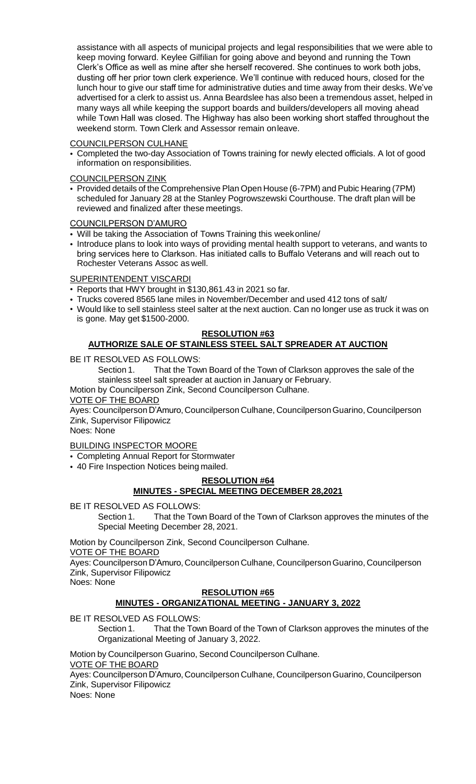assistance with all aspects of municipal projects and legal responsibilities that we were able to keep moving forward. Keylee Gilfilian for going above and beyond and running the Town Clerk's Office as well as mine after she herself recovered. She continues to work both jobs, dusting off her prior town clerk experience. We'll continue with reduced hours, closed for the lunch hour to give our staff time for administrative duties and time away from their desks. We've advertised for a clerk to assist us. Anna Beardslee has also been a tremendous asset, helped in many ways all while keeping the support boards and builders/developers all moving ahead while Town Hall was closed. The Highway has also been working short staffed throughout the weekend storm. Town Clerk and Assessor remain onleave.

### COUNCILPERSON CULHANE

• Completed the two-day Association of Towns training for newly elected officials. A lot of good information on responsibilities.

### COUNCILPERSON ZINK

• Provided details of the Comprehensive Plan Open House (6-7PM) and Pubic Hearing (7PM) scheduled for January 28 at the Stanley Pogrowszewski Courthouse. The draft plan will be reviewed and finalized after these meetings.

### COUNCILPERSON D'AMURO

- Will be taking the Association of Towns Training this weekonline/
- Introduce plans to look into ways of providing mental health support to veterans, and wants to bring services here to Clarkson. Has initiated calls to Buffalo Veterans and will reach out to Rochester Veterans Assoc as well.

### SUPERINTENDENT VISCARDI

- Reports that HWY brought in \$130,861.43 in 2021 so far.
- Trucks covered 8565 lane miles in November/December and used 412 tons of salt/
- Would like to sell stainless steel salter at the next auction. Can no longer use as truck it was on is gone. May get \$1500-2000.

# **RESOLUTION #63**

# **AUTHORIZE SALE OF STAINLESS STEEL SALT SPREADER AT AUCTION**

BE IT RESOLVED AS FOLLOWS:

Section 1. That the Town Board of the Town of Clarkson approves the sale of the stainless steel salt spreader at auction in January or February.

Motion by Councilperson Zink, Second Councilperson Culhane.

### VOTE OF THE BOARD

Ayes: Councilperson D'Amuro, Councilperson Culhane, Councilperson Guarino, Councilperson Zink, Supervisor Filipowicz

Noes: None

### BUILDING INSPECTOR MOORE

• Completing Annual Report for Stormwater

• 40 Fire Inspection Notices being mailed.

# **RESOLUTION #64 MINUTES - SPECIAL MEETING DECEMBER 28,2021**

BE IT RESOLVED AS FOLLOWS:

Section 1. That the Town Board of the Town of Clarkson approves the minutes of the Special Meeting December 28, 2021.

Motion by Councilperson Zink, Second Councilperson Culhane.

VOTE OF THE BOARD

Ayes: Councilperson D'Amuro, Councilperson Culhane, Councilperson Guarino, Councilperson Zink, Supervisor Filipowicz Noes: None

## **RESOLUTION #65**

## **MINUTES - ORGANIZATIONAL MEETING - JANUARY 3, 2022**

BE IT RESOLVED AS FOLLOWS:

Section 1. That the Town Board of the Town of Clarkson approves the minutes of the Organizational Meeting of January 3, 2022.

Motion by Councilperson Guarino, Second Councilperson Culhane.

### VOTE OF THE BOARD

Ayes: Councilperson D'Amuro, Councilperson Culhane, Councilperson Guarino, Councilperson Zink, Supervisor Filipowicz

Noes: None